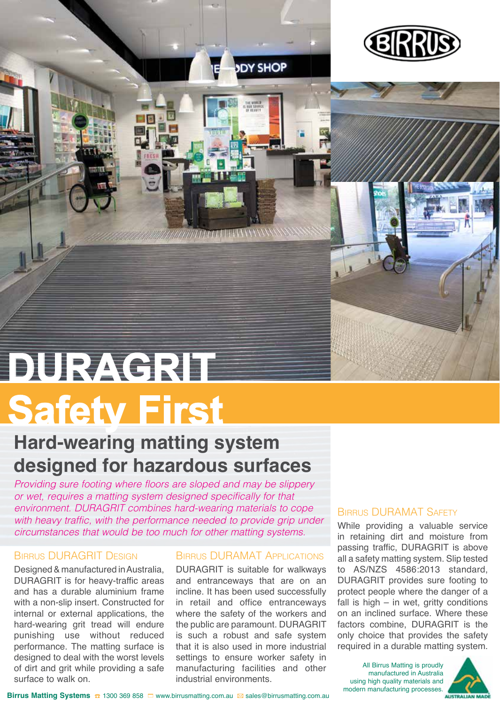

# **Safety First DURAGRIT**

# **Hard-wearing matting system designed for hazardous surfaces**

*Providing sure footing where floors are sloped and may be slippery or wet, requires a matting system designed specifically for that environment. DURAGRIT combines hard-wearing materials to cope with heavy traffic, with the performance needed to provide grip under circumstances that would be too much for other matting systems.*

## Birrus DURAGRIT Design

Designed & manufactured in Australia, DURAGRIT is for heavy-traffic areas and has a durable aluminium frame with a non-slip insert. Constructed for internal or external applications, the hard-wearing grit tread will endure punishing use without reduced performance. The matting surface is designed to deal with the worst levels of dirt and grit while providing a safe surface to walk on.

#### Birrus DURAMAT Applications

**DY SHOP** 

DURAGRIT is suitable for walkways and entranceways that are on an incline. It has been used successfully in retail and office entranceways where the safety of the workers and the public are paramount. DURAGRIT is such a robust and safe system that it is also used in more industrial settings to ensure worker safety in manufacturing facilities and other industrial environments.

## Birrus DURAMAT Safety

While providing a valuable service in retaining dirt and moisture from passing traffic, DURAGRIT is above all a safety matting system. Slip tested to AS/NZS 4586:2013 standard, DURAGRIT provides sure footing to protect people where the danger of a fall is high  $-$  in wet, gritty conditions on an inclined surface. Where these factors combine, DURAGRIT is the only choice that provides the safety required in a durable matting system.

All Birrus Matting is proudly manufactured in Australia using high quality materials and modern manufacturing processes.



**Birrus Matting Systems ☎ 1300 369 858 □** www.birrusmatting.com.au **⊠** sales@birrusmatting.com.au